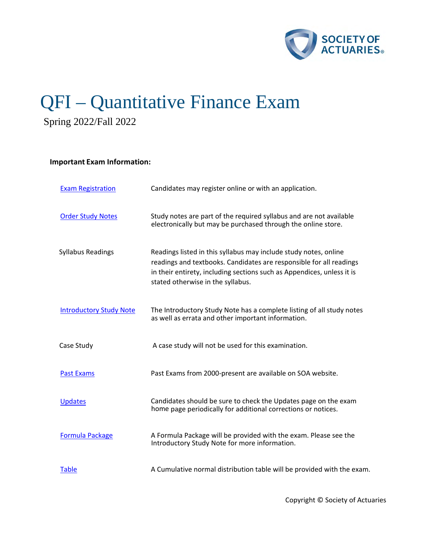

# QFI – Quantitative Finance Exam

Spring 2022/Fall 2022

# **Important Exam Information:**

| <b>Exam Registration</b>       | Candidates may register online or with an application.                                                                                                                                                                                                 |  |
|--------------------------------|--------------------------------------------------------------------------------------------------------------------------------------------------------------------------------------------------------------------------------------------------------|--|
| <b>Order Study Notes</b>       | Study notes are part of the required syllabus and are not available<br>electronically but may be purchased through the online store.                                                                                                                   |  |
| <b>Syllabus Readings</b>       | Readings listed in this syllabus may include study notes, online<br>readings and textbooks. Candidates are responsible for all readings<br>in their entirety, including sections such as Appendices, unless it is<br>stated otherwise in the syllabus. |  |
| <b>Introductory Study Note</b> | The Introductory Study Note has a complete listing of all study notes<br>as well as errata and other important information.                                                                                                                            |  |
| Case Study                     | A case study will not be used for this examination.                                                                                                                                                                                                    |  |
| <b>Past Exams</b>              | Past Exams from 2000-present are available on SOA website.                                                                                                                                                                                             |  |
| <b>Updates</b>                 | Candidates should be sure to check the Updates page on the exam<br>home page periodically for additional corrections or notices.                                                                                                                       |  |
| <b>Formula Package</b>         | A Formula Package will be provided with the exam. Please see the<br>Introductory Study Note for more information.                                                                                                                                      |  |
| <b>Table</b>                   | A Cumulative normal distribution table will be provided with the exam.                                                                                                                                                                                 |  |

Copyright © Society of Actuaries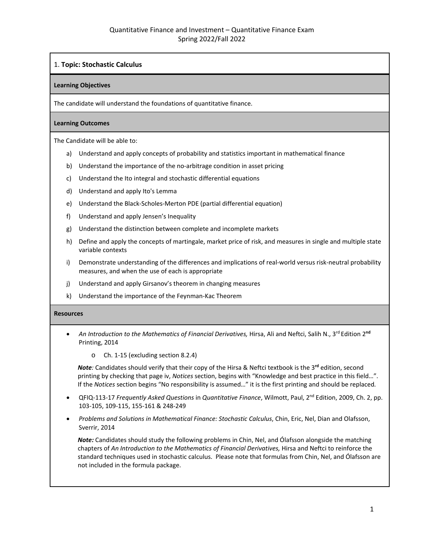# 1. **Topic: Stochastic Calculus**

#### **Learning Objectives**

The candidate will understand the foundations of quantitative finance.

#### **Learning Outcomes**

The Candidate will be able to:

- a) Understand and apply concepts of probability and statistics important in mathematical finance
- b) Understand the importance of the no-arbitrage condition in asset pricing
- c) Understand the Ito integral and stochastic differential equations
- d) Understand and apply Ito's Lemma
- e) Understand the Black-Scholes-Merton PDE (partial differential equation)
- f) Understand and apply Jensen's Inequality
- g) Understand the distinction between complete and incomplete markets
- h) Define and apply the concepts of martingale, market price of risk, and measures in single and multiple state variable contexts
- i) Demonstrate understanding of the differences and implications of real-world versus risk-neutral probability measures, and when the use of each is appropriate
- j) Understand and apply Girsanov's theorem in changing measures
- k) Understand the importance of the Feynman-Kac Theorem

#### **Resources**

- *An Introduction to the Mathematics of Financial Derivatives,* Hirsa, Ali and Neftci, Salih N., 3rd Edition 2**nd** Printing, 2014
	- o Ch. 1-15 (excluding section 8.2.4)

*Note*: Candidates should verify that their copy of the Hirsa & Neftci textbook is the 3<sup>rd</sup> edition, second printing by checking that page iv, *Notices* section, begins with "Knowledge and best practice in this field…". If the *Notices* section begins "No responsibility is assumed…" it is the first printing and should be replaced*.*

- QFIQ-113-17 *Frequently Asked Questions* in *Quantitative Finance*, Wilmott, Paul, 2nd Edition, 2009, Ch. 2, pp. 103-105, 109-115, 155-161 & 248-249
- *Problems and Solutions in Mathematical Finance: Stochastic Calculus*, Chin, Eric, Nel, Dian and Olafsson, Sverrir, 2014

*Note:* Candidates should study the following problems in Chin, Nel, and Ólafsson alongside the matching chapters of *An Introduction to the Mathematics of Financial Derivatives,* Hirsa and Neftci to reinforce the standard techniques used in stochastic calculus. Please note that formulas from Chin, Nel, and Ólafsson are not included in the formula package.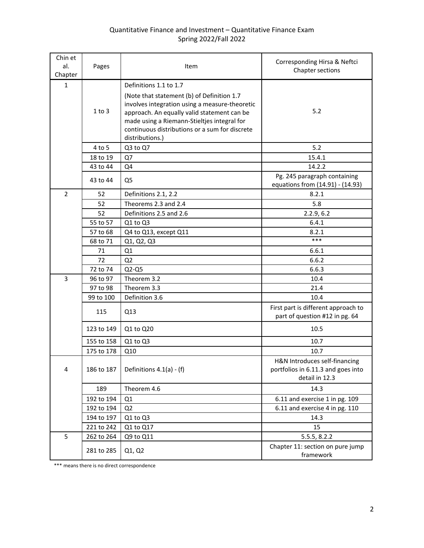# Quantitative Finance and Investment – Quantitative Finance Exam Spring 2022/Fall 2022

| Chin et<br>al.<br>Chapter | Pages      | Item                                                                                                                                                                                                                                                            | Corresponding Hirsa & Neftci<br>Chapter sections                                      |
|---------------------------|------------|-----------------------------------------------------------------------------------------------------------------------------------------------------------------------------------------------------------------------------------------------------------------|---------------------------------------------------------------------------------------|
| $\mathbf{1}$              |            | Definitions 1.1 to 1.7                                                                                                                                                                                                                                          |                                                                                       |
|                           | $1$ to $3$ | (Note that statement (b) of Definition 1.7<br>involves integration using a measure-theoretic<br>approach. An equally valid statement can be<br>made using a Riemann-Stieltjes integral for<br>continuous distributions or a sum for discrete<br>distributions.) | 5.2                                                                                   |
|                           | 4 to 5     | Q3 to Q7                                                                                                                                                                                                                                                        | 5.2                                                                                   |
|                           | 18 to 19   | Q7                                                                                                                                                                                                                                                              | 15.4.1                                                                                |
|                           | 43 to 44   | Q4                                                                                                                                                                                                                                                              | 14.2.2                                                                                |
|                           | 43 to 44   | Q <sub>5</sub>                                                                                                                                                                                                                                                  | Pg. 245 paragraph containing<br>equations from (14.91) - (14.93)                      |
| $\overline{2}$            | 52         | Definitions 2.1, 2.2                                                                                                                                                                                                                                            | 8.2.1                                                                                 |
|                           | 52         | Theorems 2.3 and 2.4                                                                                                                                                                                                                                            | 5.8                                                                                   |
|                           | 52         | Definitions 2.5 and 2.6                                                                                                                                                                                                                                         | 2.2.9, 6.2                                                                            |
|                           | 55 to 57   | Q1 to Q3                                                                                                                                                                                                                                                        | 6.4.1                                                                                 |
|                           | 57 to 68   | Q4 to Q13, except Q11                                                                                                                                                                                                                                           | 8.2.1                                                                                 |
|                           | 68 to 71   | Q1, Q2, Q3                                                                                                                                                                                                                                                      | ***                                                                                   |
|                           | 71         | Q1                                                                                                                                                                                                                                                              | 6.6.1                                                                                 |
|                           | 72         | Q2                                                                                                                                                                                                                                                              | 6.6.2                                                                                 |
|                           | 72 to 74   | $Q2-Q5$                                                                                                                                                                                                                                                         | 6.6.3                                                                                 |
| 3                         | 96 to 97   | Theorem 3.2                                                                                                                                                                                                                                                     | 10.4                                                                                  |
|                           | 97 to 98   | Theorem 3.3                                                                                                                                                                                                                                                     | 21.4                                                                                  |
|                           | 99 to 100  | Definition 3.6                                                                                                                                                                                                                                                  | 10.4                                                                                  |
|                           | 115        | Q13                                                                                                                                                                                                                                                             | First part is different approach to<br>part of question #12 in pg. 64                 |
|                           | 123 to 149 | Q1 to Q20                                                                                                                                                                                                                                                       | 10.5                                                                                  |
|                           | 155 to 158 | Q1 to Q3                                                                                                                                                                                                                                                        | 10.7                                                                                  |
|                           | 175 to 178 | Q10                                                                                                                                                                                                                                                             | 10.7                                                                                  |
| 4                         | 186 to 187 | Definitions 4.1(a) - (f)                                                                                                                                                                                                                                        | H&N Introduces self-financing<br>portfolios in 6.11.3 and goes into<br>detail in 12.3 |
|                           | 189        | Theorem 4.6                                                                                                                                                                                                                                                     | 14.3                                                                                  |
|                           | 192 to 194 | Q1                                                                                                                                                                                                                                                              | 6.11 and exercise 1 in pg. 109                                                        |
|                           | 192 to 194 | Q2                                                                                                                                                                                                                                                              | 6.11 and exercise 4 in pg. 110                                                        |
|                           | 194 to 197 | Q1 to Q3                                                                                                                                                                                                                                                        | 14.3                                                                                  |
|                           | 221 to 242 | Q1 to Q17                                                                                                                                                                                                                                                       | 15                                                                                    |
| 5                         | 262 to 264 | Q9 to Q11                                                                                                                                                                                                                                                       | 5.5.5, 8.2.2                                                                          |
|                           | 281 to 285 | Q1, Q2                                                                                                                                                                                                                                                          | Chapter 11: section on pure jump<br>framework                                         |

\*\*\* means there is no direct correspondence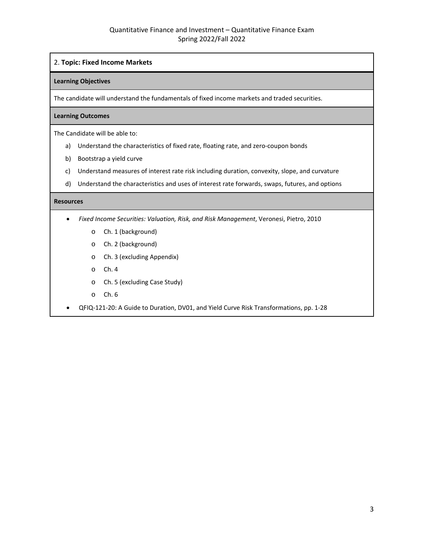### 2. **Topic: Fixed Income Markets**

#### **Learning Objectives**

The candidate will understand the fundamentals of fixed income markets and traded securities.

#### **Learning Outcomes**

The Candidate will be able to:

- a) Understand the characteristics of fixed rate, floating rate, and zero-coupon bonds
- b) Bootstrap a yield curve
- c) Understand measures of interest rate risk including duration, convexity, slope, and curvature
- d) Understand the characteristics and uses of interest rate forwards, swaps, futures, and options

- *Fixed Income Securities: Valuation, Risk, and Risk Management*, Veronesi, Pietro, 2010
	- o Ch. 1 (background)
	- o Ch. 2 (background)
	- o Ch. 3 (excluding Appendix)
	- o Ch. 4
	- o Ch. 5 (excluding Case Study)
	- o Ch. 6
- QFIQ-121-20: A Guide to Duration, DV01, and Yield Curve Risk Transformations, pp. 1-28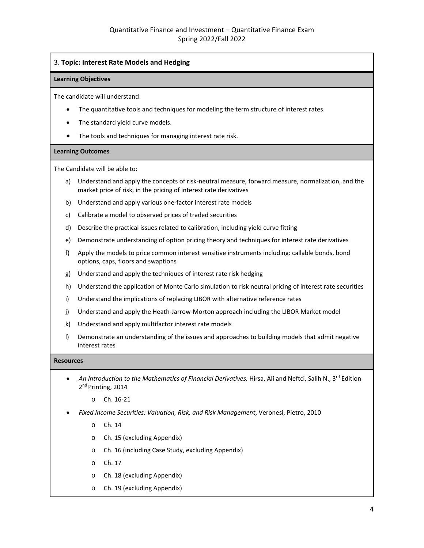# 3. **Topic: Interest Rate Models and Hedging**

#### **Learning Objectives**

The candidate will understand:

- The quantitative tools and techniques for modeling the term structure of interest rates.
- The standard yield curve models.
- The tools and techniques for managing interest rate risk.

#### **Learning Outcomes**

The Candidate will be able to:

- a) Understand and apply the concepts of risk-neutral measure, forward measure, normalization, and the market price of risk, in the pricing of interest rate derivatives
- b) Understand and apply various one-factor interest rate models
- c) Calibrate a model to observed prices of traded securities
- d) Describe the practical issues related to calibration, including yield curve fitting
- e) Demonstrate understanding of option pricing theory and techniques for interest rate derivatives
- f) Apply the models to price common interest sensitive instruments including: callable bonds, bond options, caps, floors and swaptions
- g) Understand and apply the techniques of interest rate risk hedging
- h) Understand the application of Monte Carlo simulation to risk neutral pricing of interest rate securities
- i) Understand the implications of replacing LIBOR with alternative reference rates
- j) Understand and apply the Heath-Jarrow-Morton approach including the LIBOR Market model
- k) Understand and apply multifactor interest rate models
- l) Demonstrate an understanding of the issues and approaches to building models that admit negative interest rates

- *An Introduction to the Mathematics of Financial Derivatives,* Hirsa, Ali and Neftci, Salih N., 3rd Edition 2<sup>nd</sup> Printing, 2014
	- o Ch. 16-21
- *Fixed Income Securities: Valuation, Risk, and Risk Management*, Veronesi, Pietro, 2010
	- o Ch. 14
	- o Ch. 15 (excluding Appendix)
	- o Ch. 16 (including Case Study, excluding Appendix)
	- o Ch. 17
	- o Ch. 18 (excluding Appendix)
	- o Ch. 19 (excluding Appendix)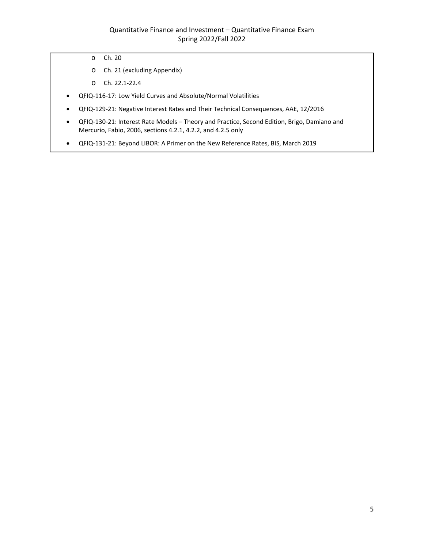- o Ch. 20
- o Ch. 21 (excluding Appendix)
- o Ch. 22.1-22.4
- QFIQ-116-17: Low Yield Curves and Absolute/Normal Volatilities
- QFIQ-129-21: Negative Interest Rates and Their Technical Consequences, AAE, 12/2016
- QFIQ-130-21: Interest Rate Models Theory and Practice, Second Edition, Brigo, Damiano and Mercurio, Fabio, 2006, sections 4.2.1, 4.2.2, and 4.2.5 only
- QFIQ-131-21: Beyond LIBOR: A Primer on the New Reference Rates, BIS, March 2019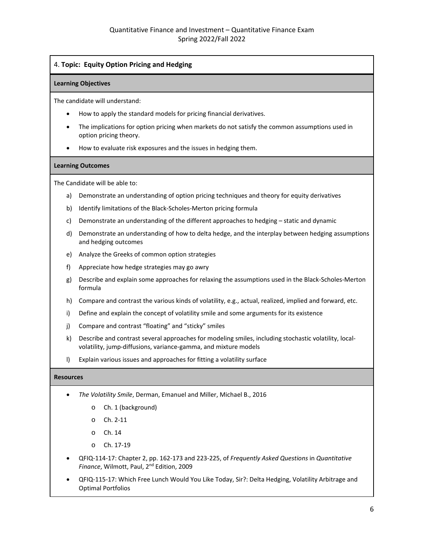# 4. **Topic: Equity Option Pricing and Hedging**

#### **Learning Objectives**

The candidate will understand:

- How to apply the standard models for pricing financial derivatives.
- The implications for option pricing when markets do not satisfy the common assumptions used in option pricing theory.
- How to evaluate risk exposures and the issues in hedging them.

#### **Learning Outcomes**

The Candidate will be able to:

- a) Demonstrate an understanding of option pricing techniques and theory for equity derivatives
- b) Identify limitations of the Black-Scholes-Merton pricing formula
- c) Demonstrate an understanding of the different approaches to hedging static and dynamic
- d) Demonstrate an understanding of how to delta hedge, and the interplay between hedging assumptions and hedging outcomes
- e) Analyze the Greeks of common option strategies
- f) Appreciate how hedge strategies may go awry
- g) Describe and explain some approaches for relaxing the assumptions used in the Black-Scholes-Merton formula
- h) Compare and contrast the various kinds of volatility, e.g., actual, realized, implied and forward, etc.
- i) Define and explain the concept of volatility smile and some arguments for its existence
- j) Compare and contrast "floating" and "sticky" smiles
- k) Describe and contrast several approaches for modeling smiles, including stochastic volatility, localvolatility, jump-diffusions, variance-gamma, and mixture models
- l) Explain various issues and approaches for fitting a volatility surface

- *The Volatility Smile*, Derman, Emanuel and Miller, Michael B., 2016
	- o Ch. 1 (background)
	- o Ch. 2-11
	- o Ch. 14
	- o Ch. 17-19
- QFIQ-114-17: Chapter 2, pp. 162-173 and 223-225, of *Frequently Asked Questions* in *Quantitative Finance*, Wilmott, Paul, 2nd Edition, 2009
- QFIQ-115-17: Which Free Lunch Would You Like Today, Sir?: Delta Hedging, Volatility Arbitrage and Optimal Portfolios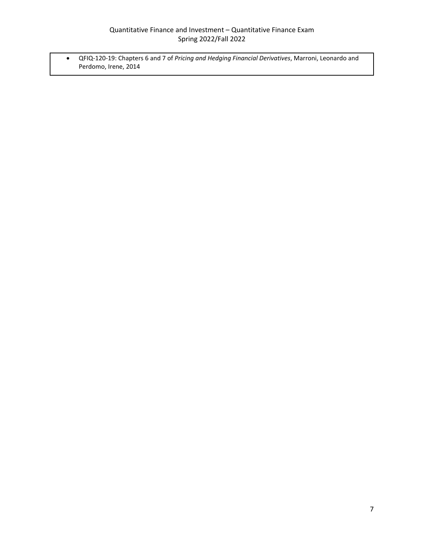• QFIQ-120-19: Chapters 6 and 7 of *Pricing and Hedging Financial Derivatives*, Marroni, Leonardo and Perdomo, Irene, 2014